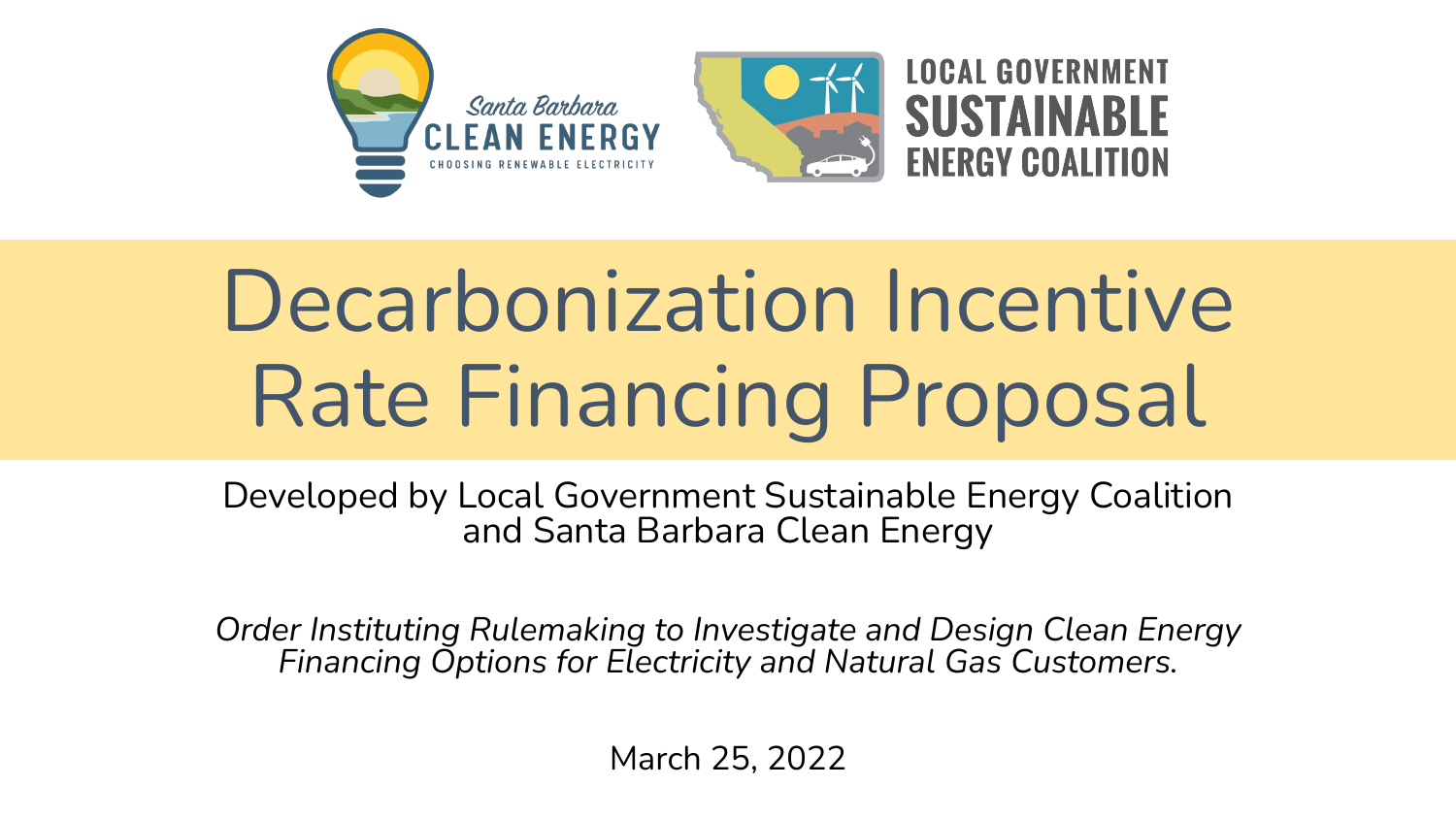

# Decarbonization Incentive Rate Financing Proposal

Developed by Local Government Sustainable Energy Coalition and Santa Barbara Clean Energy

*Order Instituting Rulemaking to Investigate and Design Clean Energy Financing Options for Electricity and Natural Gas Customers.*

March 25, 2022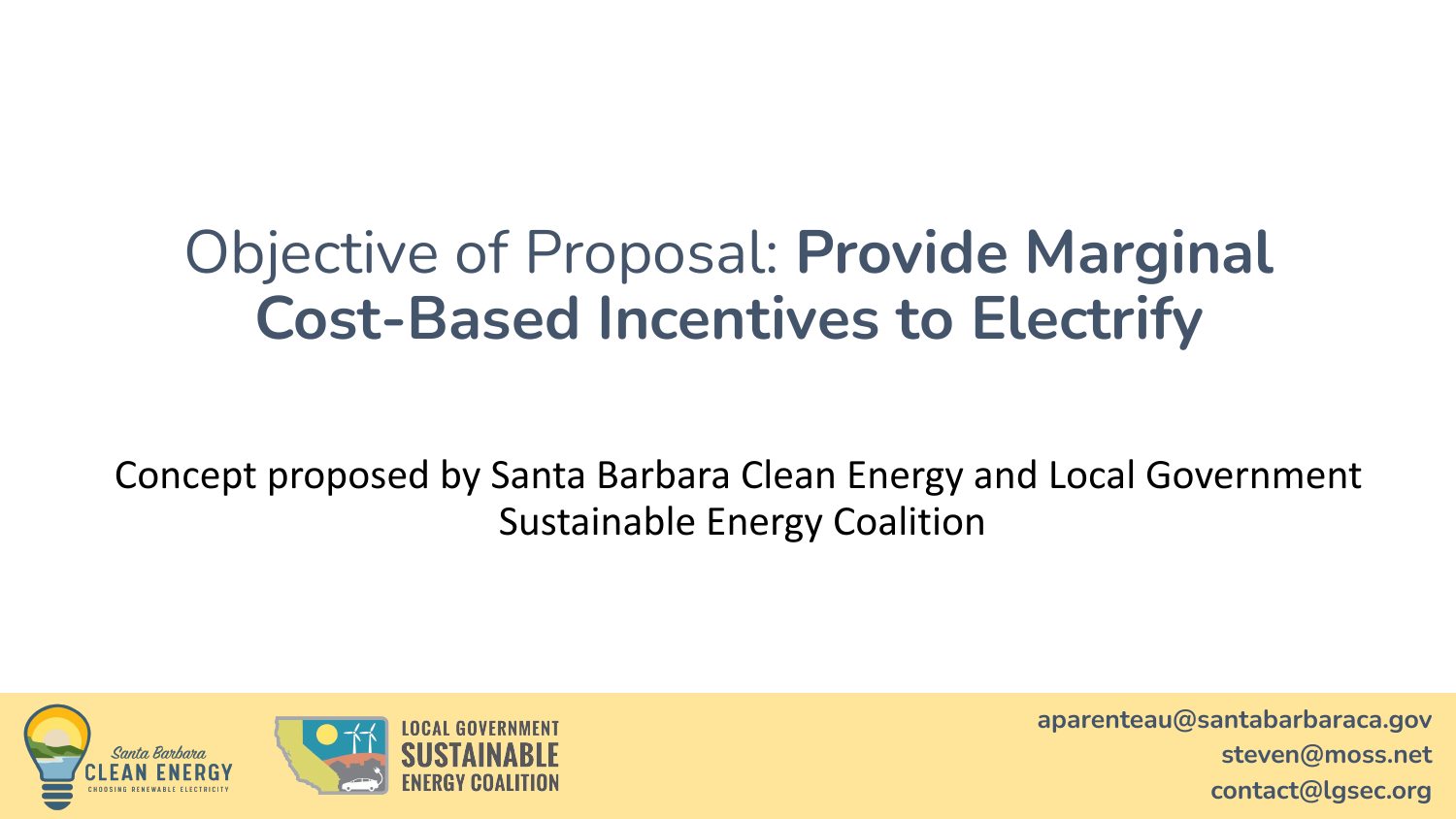## Objective of Proposal: **Provide Marginal Cost-Based Incentives to Electrify**

Concept proposed by Santa Barbara Clean Energy and Local Government Sustainable Energy Coalition

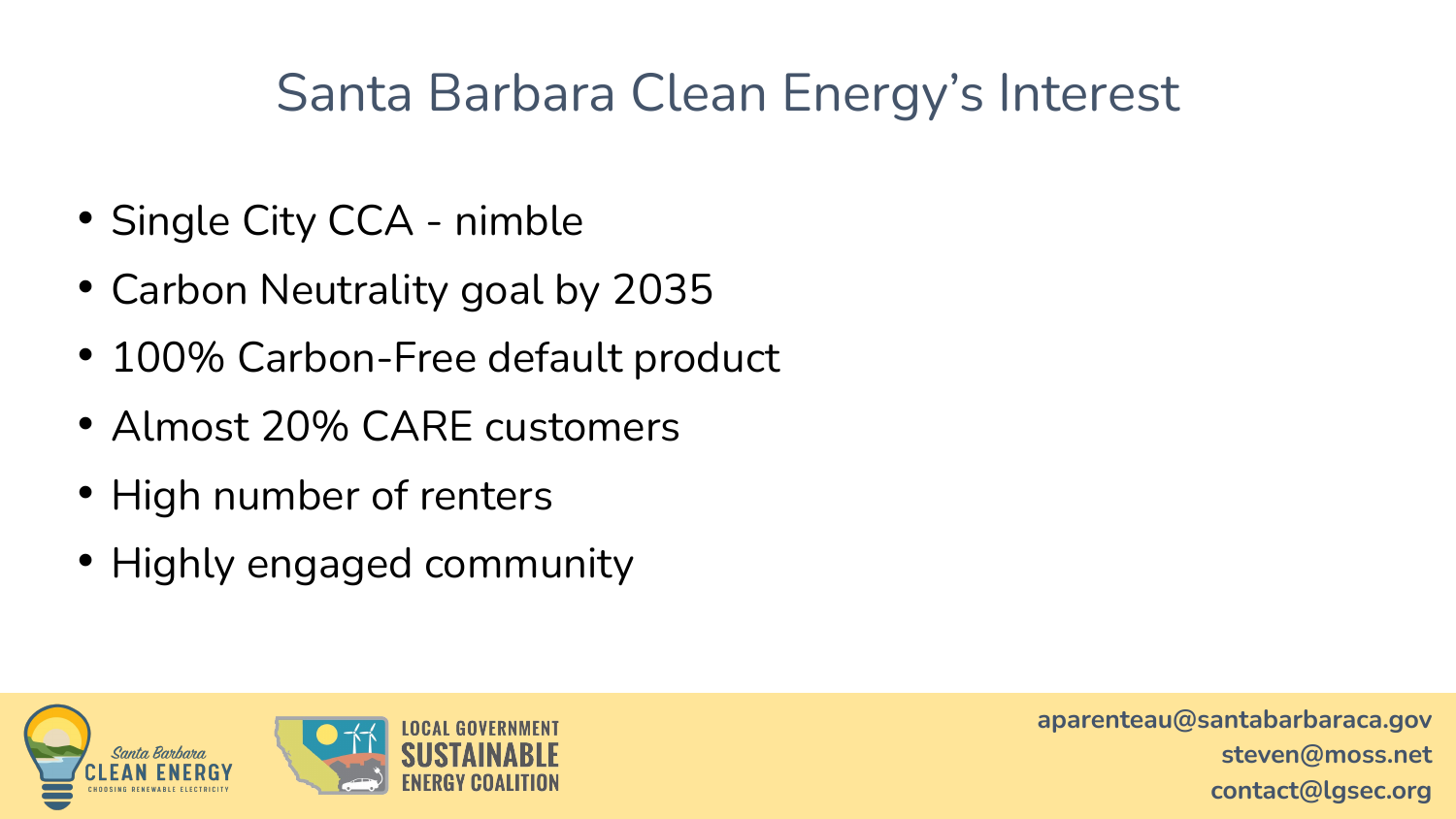#### Santa Barbara Clean Energy's Interest

- Single City CCA nimble
- Carbon Neutrality goal by 2035
- 100% Carbon-Free default product
- Almost 20% CARE customers
- High number of renters
- Highly engaged community

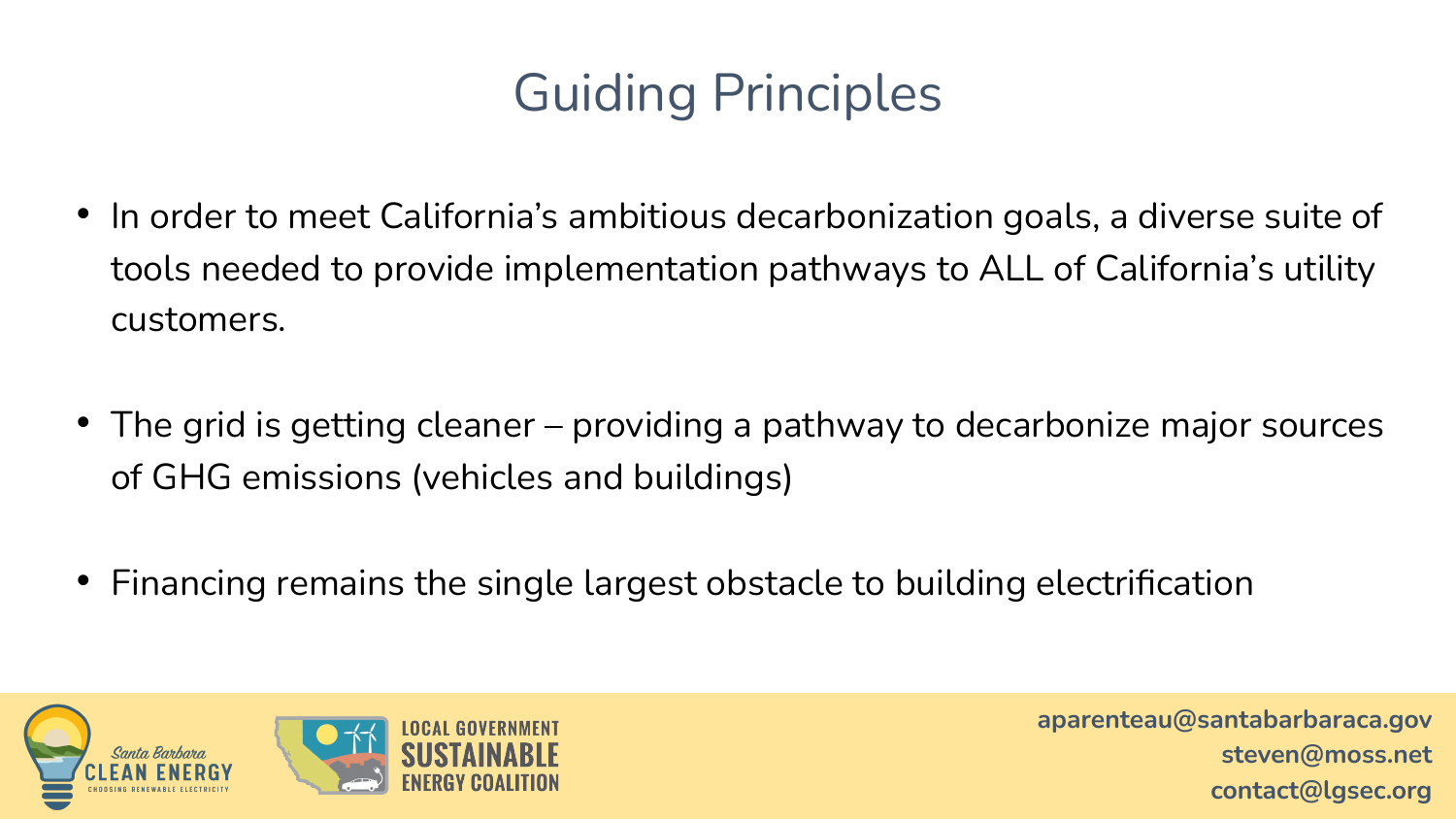### Guiding Principles

- In order to meet California's ambitious decarbonization goals, a diverse suite of tools needed to provide implementation pathways to ALL of California's utility customers.
- The grid is getting cleaner providing a pathway to decarbonize major sources of GHG emissions (vehicles and buildings)
- Financing remains the single largest obstacle to building electrification

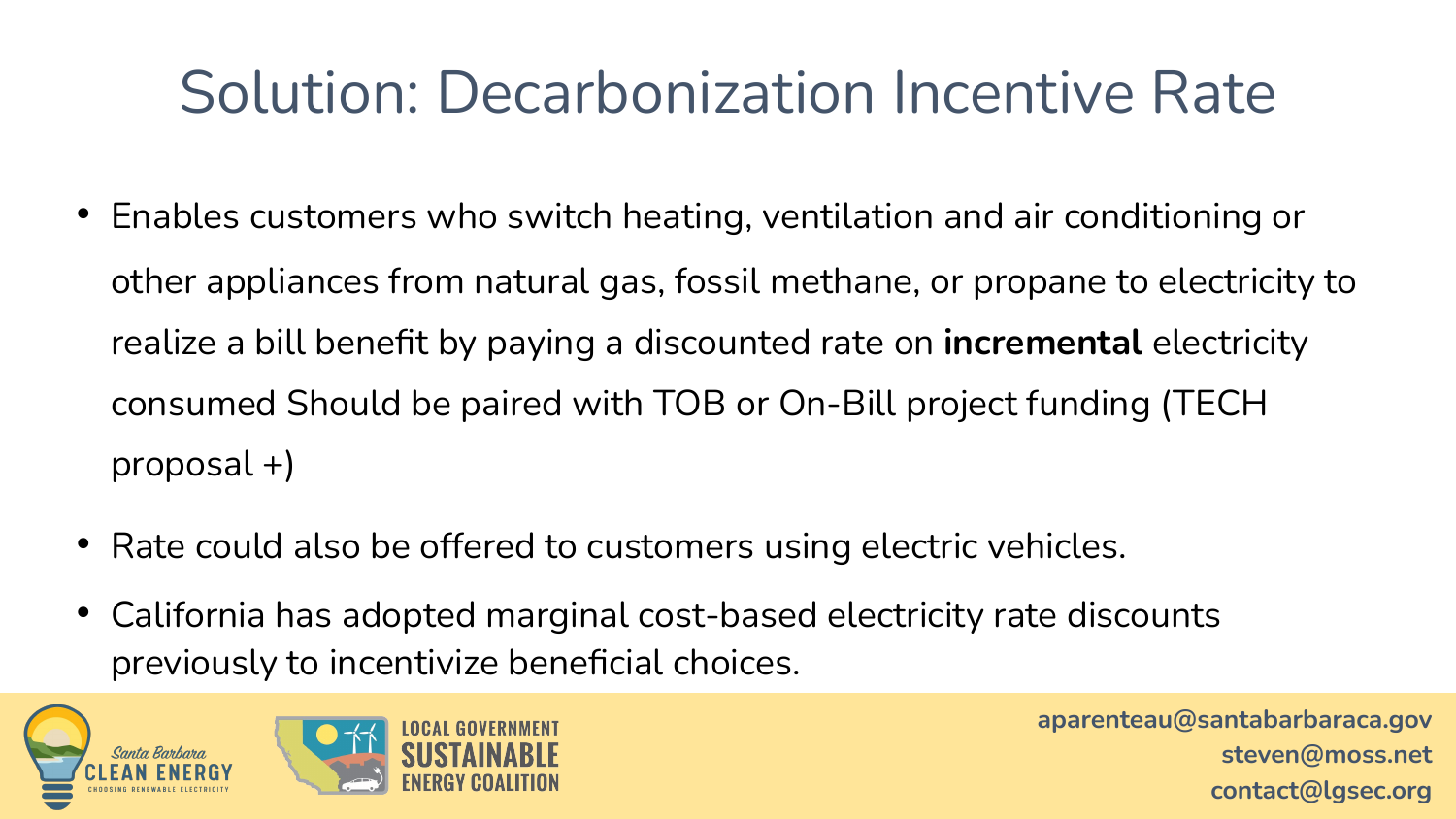## Solution: Decarbonization Incentive Rate

- Enables customers who switch heating, ventilation and air conditioning or other appliances from natural gas, fossil methane, or propane to electricity to realize a bill benefit by paying a discounted rate on **incremental** electricity consumed Should be paired with TOB or On-Bill project funding (TECH proposal +)
- Rate could also be offered to customers using electric vehicles.
- California has adopted marginal cost-based electricity rate discounts previously to incentivize beneficial choices.

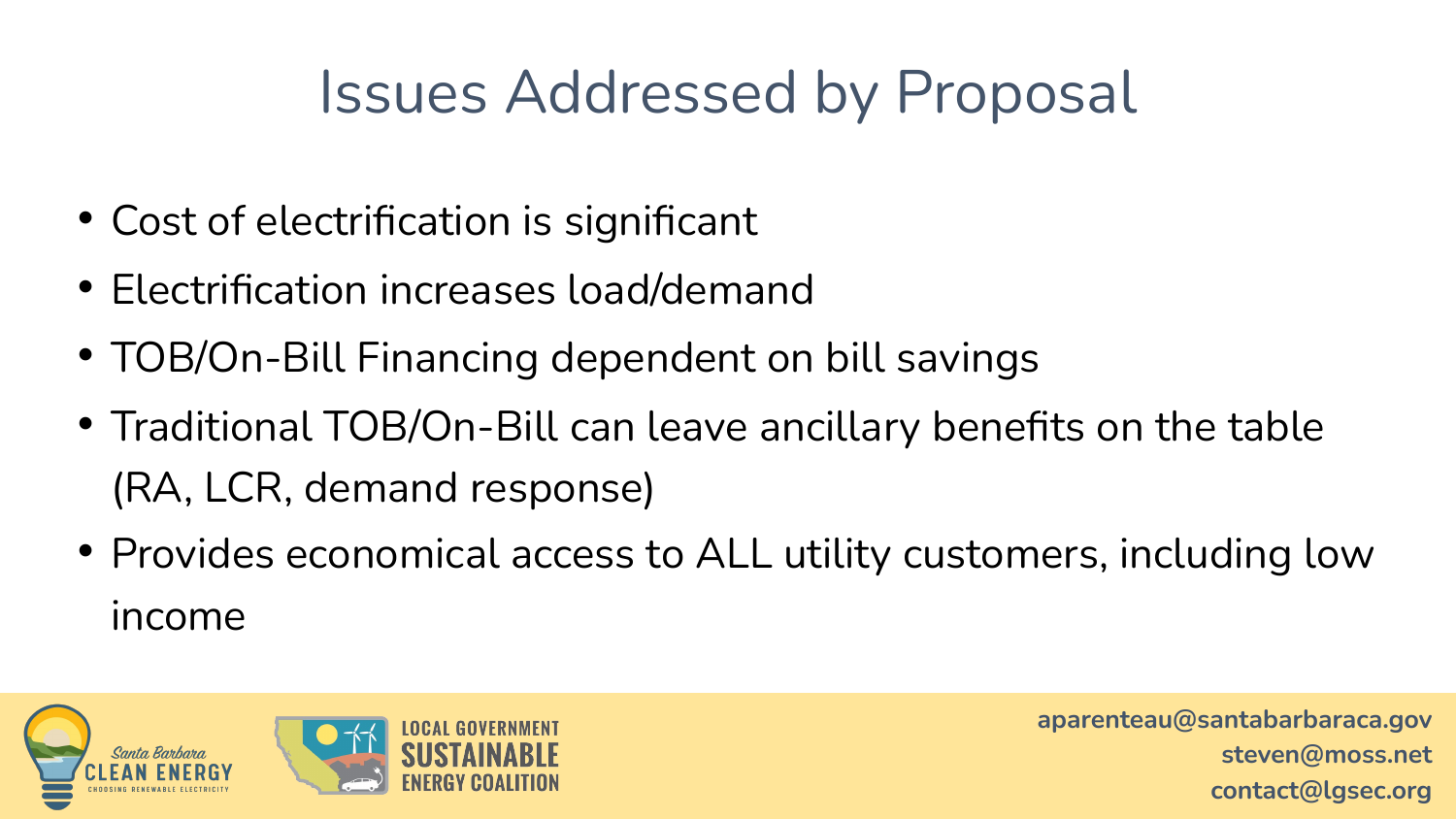## Issues Addressed by Proposal

- Cost of electrification is significant
- Electrification increases load/demand
- TOB/On-Bill Financing dependent on bill savings
- Traditional TOB/On-Bill can leave ancillary benefits on the table (RA, LCR, demand response)
- Provides economical access to ALL utility customers, including low income

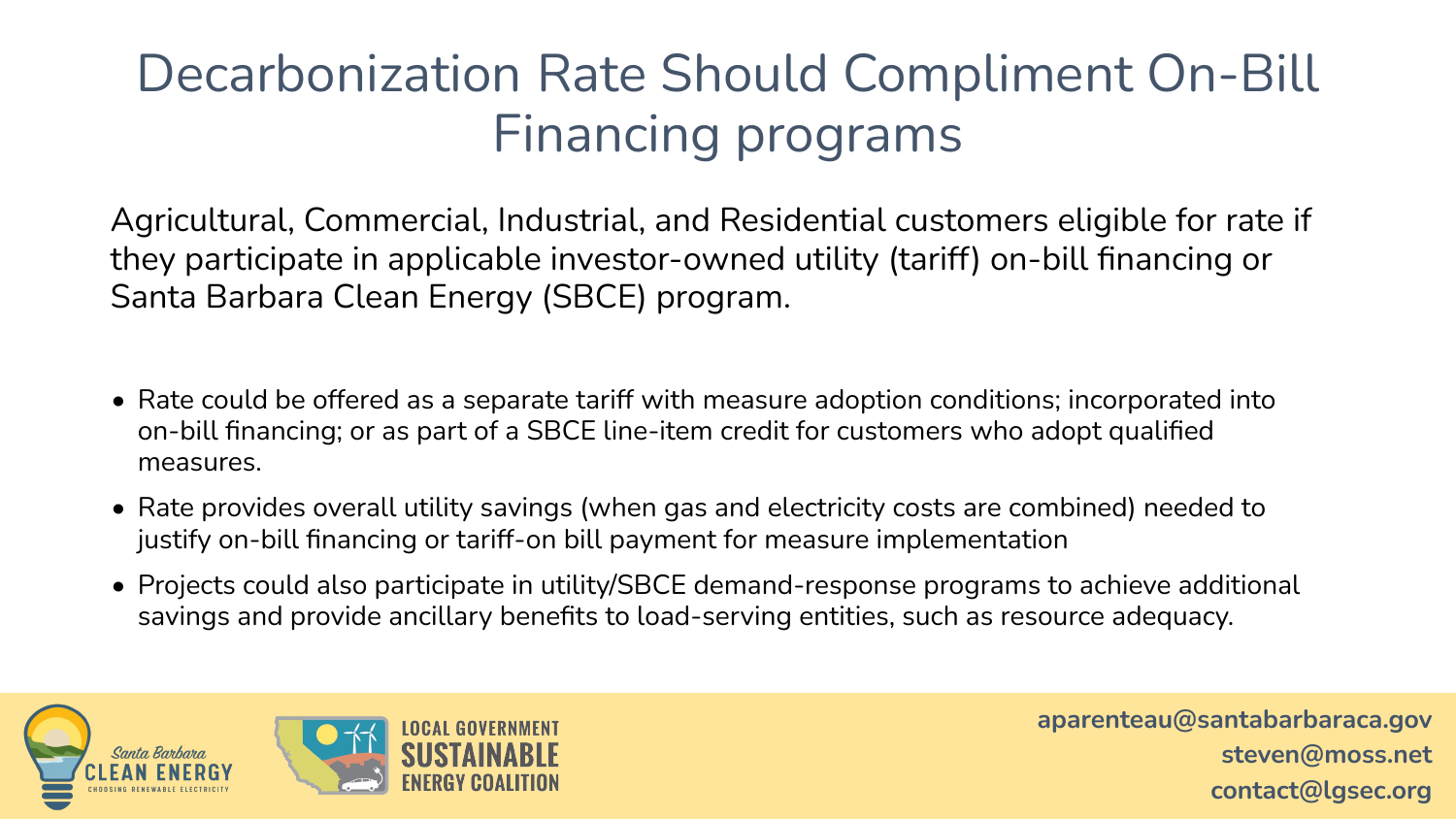### Decarbonization Rate Should Compliment On-Bill Financing programs

Agricultural, Commercial, Industrial, and Residential customers eligible for rate if they participate in applicable investor-owned utility (tariff) on-bill financing or Santa Barbara Clean Energy (SBCE) program.

- Rate could be offered as a separate tariff with measure adoption conditions; incorporated into on-bill financing; or as part of a SBCE line-item credit for customers who adopt qualified measures.
- Rate provides overall utility savings (when gas and electricity costs are combined) needed to justify on-bill financing or tariff-on bill payment for measure implementation
- Projects could also participate in utility/SBCE demand-response programs to achieve additional savings and provide ancillary benefits to load-serving entities, such as resource adequacy.

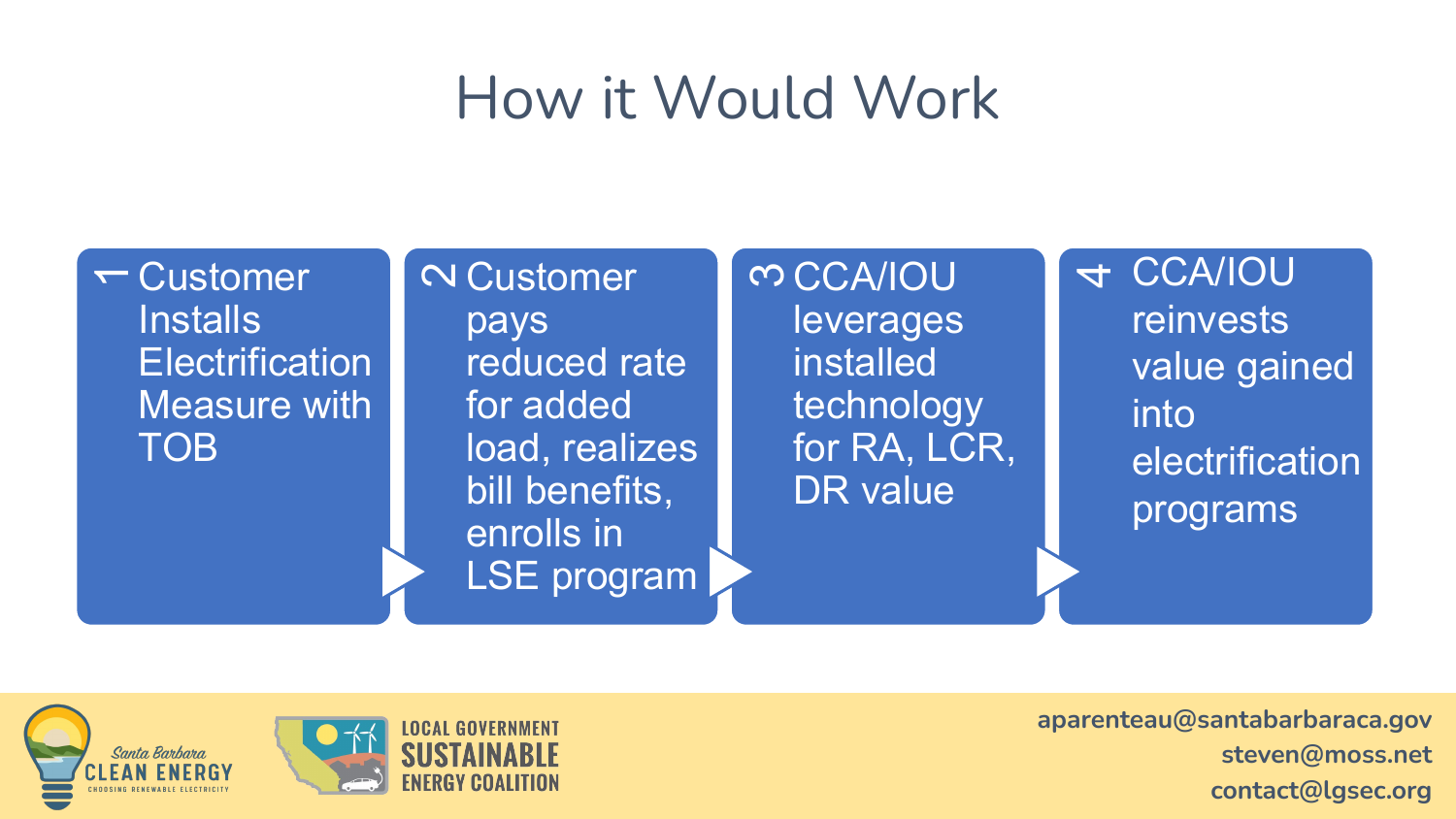## How it Would Work

 $\leftarrow$  Customer **Installs Electrification** Measure with TOB

**N** Customer pays reduced rate for added load, realizes bill benefits, enrolls in LSE program **m CCA/IOU** leverages **installed** technology for RA, LCR, DR value

<sup>4</sup>CCA/IOU reinvests value gained into electrification programs

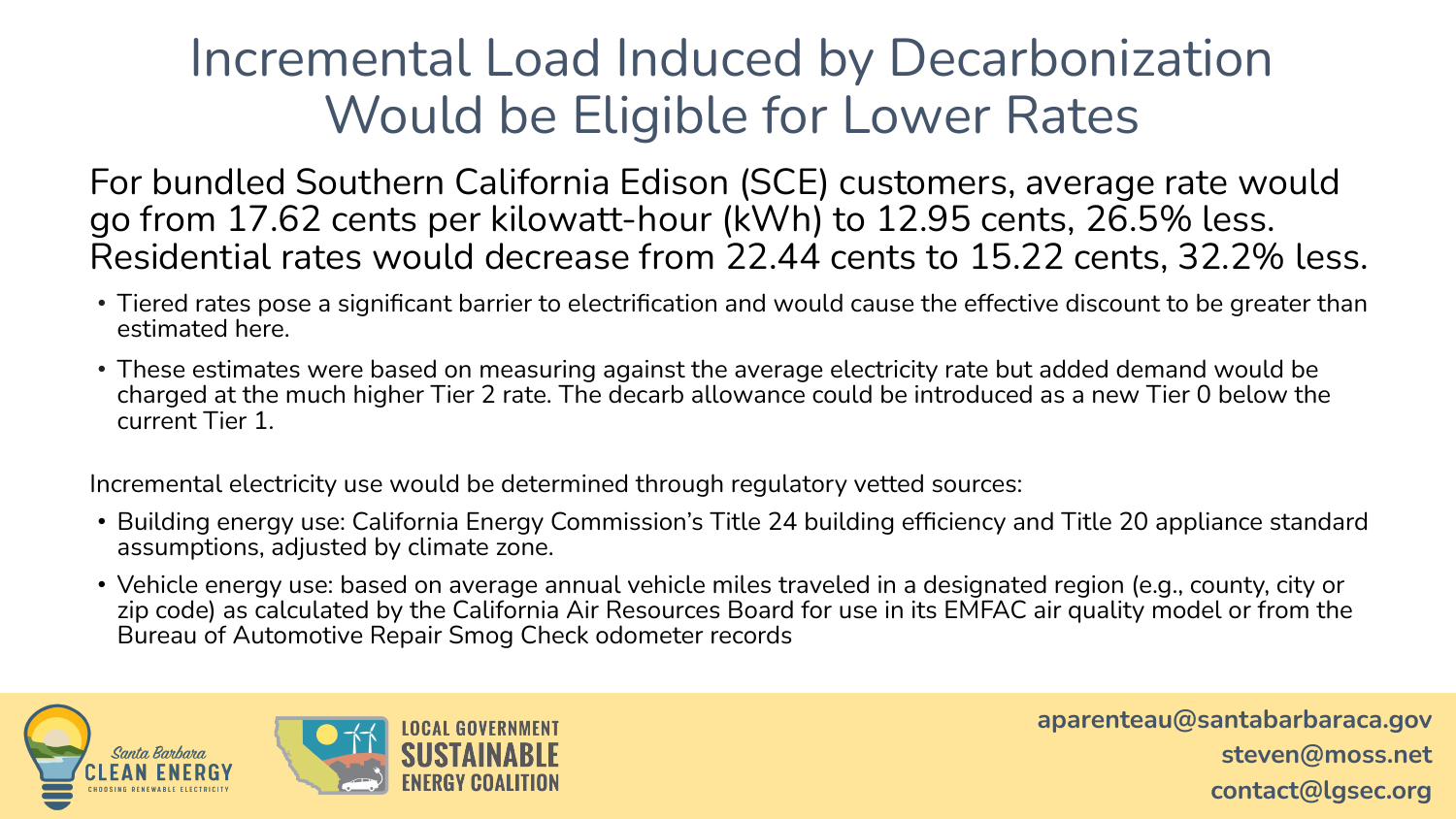#### Incremental Load Induced by Decarbonization Would be Eligible for Lower Rates

For bundled Southern California Edison (SCE) customers, average rate would go from 17.62 cents per kilowatt-hour (kWh) to 12.95 cents, 26.5% less. Residential rates would decrease from 22.44 cents to 15.22 cents, 32.2% less.

- Tiered rates pose a significant barrier to electrification and would cause the effective discount to be greater than estimated here.
- These estimates were based on measuring against the average electricity rate but added demand would be charged at the much higher Tier 2 rate. The decarb allowance could be introduced as a new Tier 0 below the current Tier 1.

Incremental electricity use would be determined through regulatory vetted sources:

- Building energy use: California Energy Commission's Title 24 building efficiency and Title 20 appliance standard assumptions, adjusted by climate zone.
- Vehicle energy use: based on average annual vehicle miles traveled in a designated region (e.g., county, city or zip code) as calculated by the California Air Resources Board for use in its EMFAC air quality model or from the Bureau of Automotive Repair Smog Check odometer records

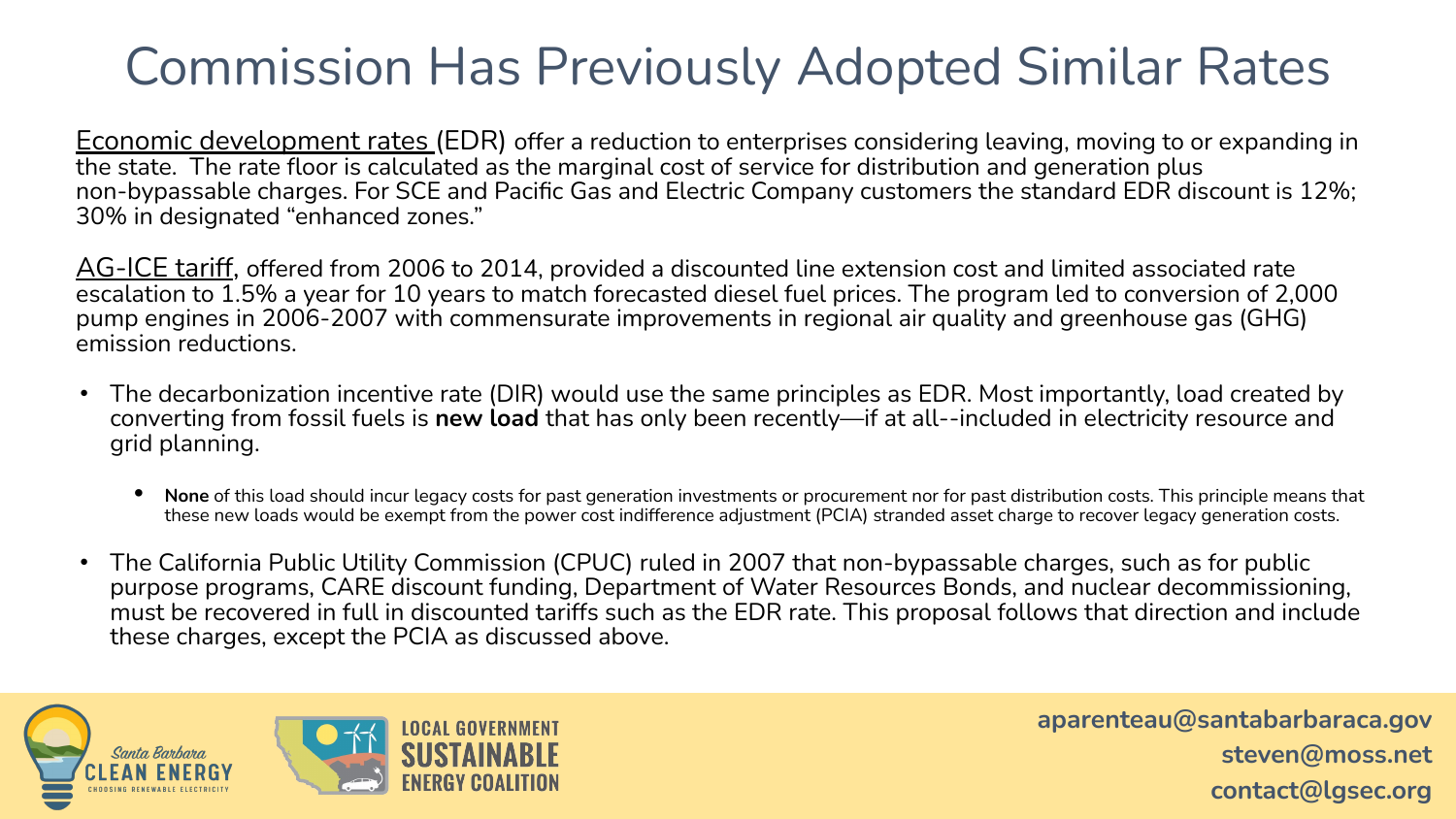#### Commission Has Previously Adopted Similar Rates

<u>Economic development rates (</u>EDR) offer a reduction to enterprises considering leaving, moving to or expanding in the state. The rate floor is calculated as the marginal cost of service for distribution and generation plus non-bypassable charges. For SCE and Pacific Gas and Electric Company customers the standard EDR discount is 12%; 30% in designated "enhanced zones."

AG-ICE tariff, offered from 2006 to 2014, provided a discounted line extension cost and limited associated rate escalation to 1.5% a year for 10 years to match forecasted diesel fuel prices. The program led to conversion of 2,000 pump engines in 2006-2007 with commensurate improvements in regional air quality and greenhouse gas (GHG) emission reductions.

- The decarbonization incentive rate (DIR) would use the same principles as EDR. Most importantly, load created by converting from fossil fuels is **new load** that has only been recently—if at all--included in electricity resource and grid planning.
	- **• None** of this load should incur legacy costs for past generation investments or procurement nor for past distribution costs. This principle means that these new loads would be exempt from the power cost indifference adjustment (PCIA) stranded asset charge to recover legacy generation costs.
- The California Public Utility Commission (CPUC) ruled in 2007 that non-bypassable charges, such as for public purpose programs, CARE discount funding, Department of Water Resources Bonds, and nuclear decommissioning, must be recovered in full in discounted tariffs such as the EDR rate. This proposal follows that direction and include these charges, except the PCIA as discussed above.

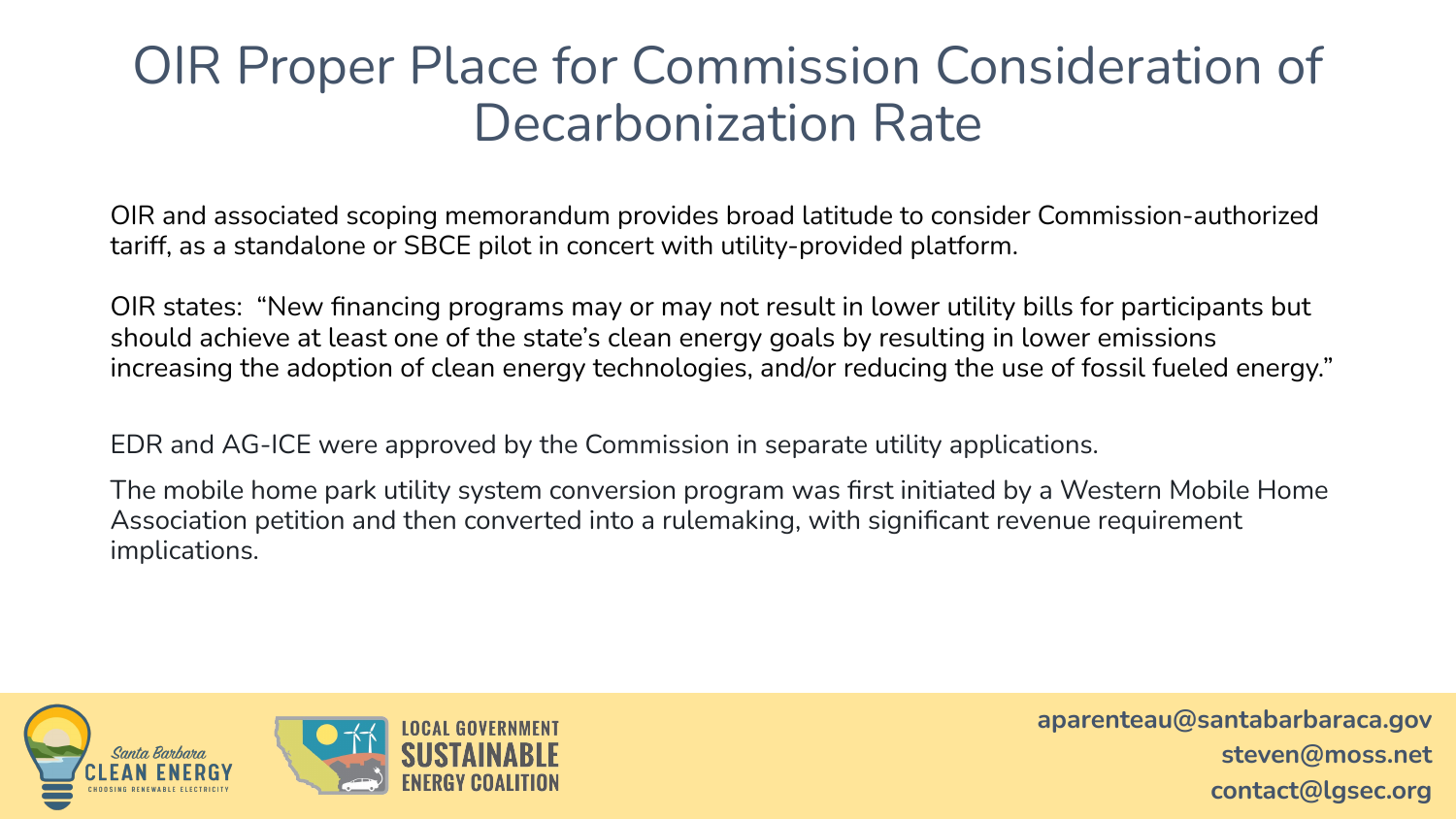#### OIR Proper Place for Commission Consideration of Decarbonization Rate

OIR and associated scoping memorandum provides broad latitude to consider Commission-authorized tariff, as a standalone or SBCE pilot in concert with utility-provided platform.

OIR states: "New financing programs may or may not result in lower utility bills for participants but should achieve at least one of the state's clean energy goals by resulting in lower emissions increasing the adoption of clean energy technologies, and/or reducing the use of fossil fueled energy."

EDR and AG-ICE were approved by the Commission in separate utility applications.

The mobile home park utility system conversion program was first initiated by a Western Mobile Home Association petition and then converted into a rulemaking, with significant revenue requirement implications.

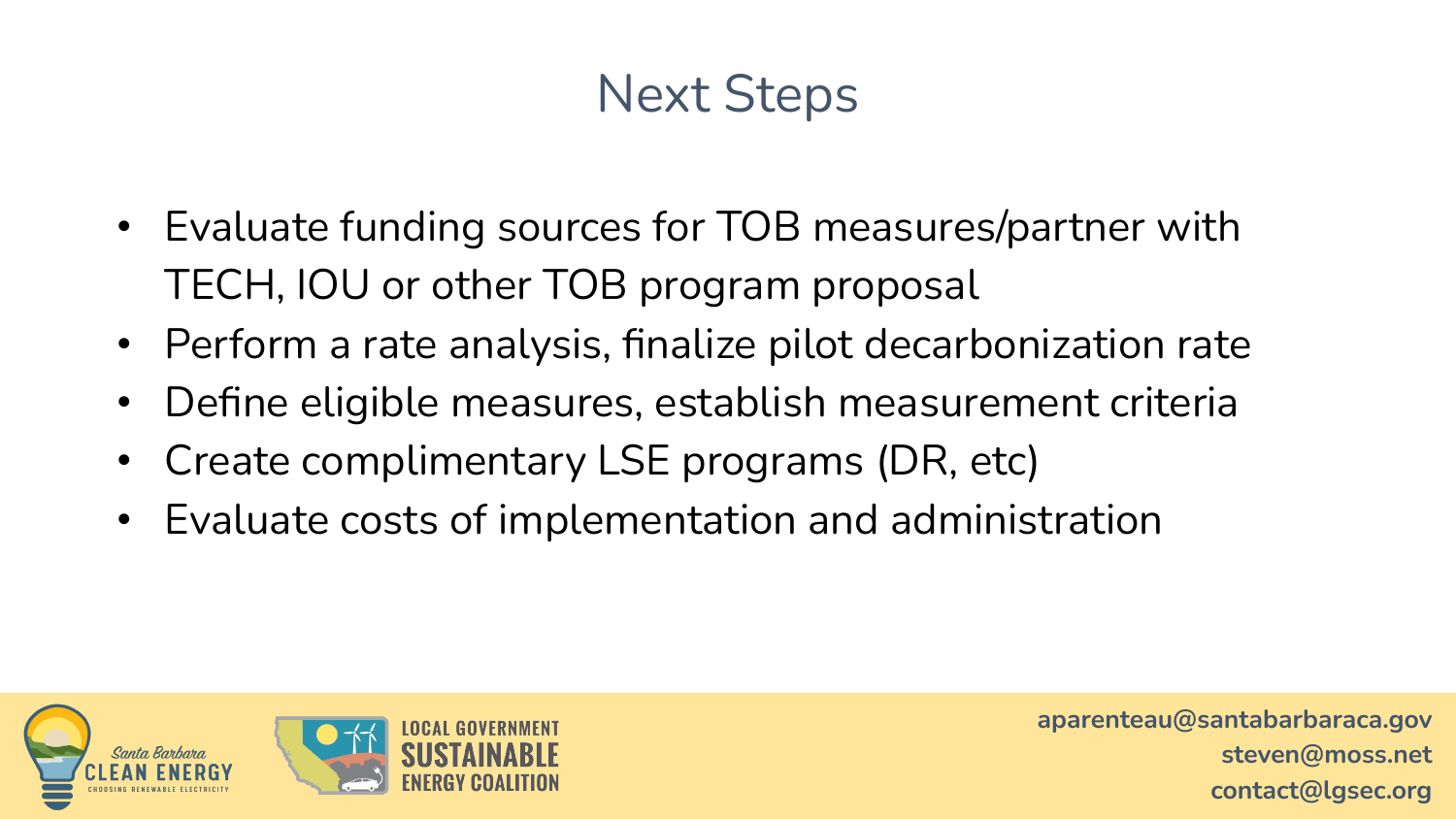#### Next Steps

- Evaluate funding sources for TOB measures/partner with TECH, IOU or other TOB program proposal
- Perform a rate analysis, finalize pilot decarbonization rate
- Define eligible measures, establish measurement criteria
- Create complimentary LSE programs (DR, etc)
- Evaluate costs of implementation and administration